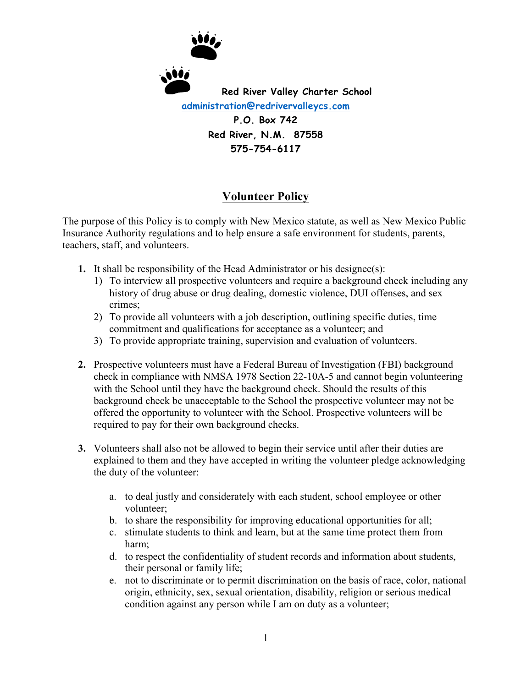

## **Volunteer Policy**

The purpose of this Policy is to comply with New Mexico statute, as well as New Mexico Public Insurance Authority regulations and to help ensure a safe environment for students, parents, teachers, staff, and volunteers.

- **1.** It shall be responsibility of the Head Administrator or his designee(s):
	- 1) To interview all prospective volunteers and require a background check including any history of drug abuse or drug dealing, domestic violence, DUI offenses, and sex crimes;
	- 2) To provide all volunteers with a job description, outlining specific duties, time commitment and qualifications for acceptance as a volunteer; and
	- 3) To provide appropriate training, supervision and evaluation of volunteers.
- **2.** Prospective volunteers must have a Federal Bureau of Investigation (FBI) background check in compliance with NMSA 1978 Section 22-10A-5 and cannot begin volunteering with the School until they have the background check. Should the results of this background check be unacceptable to the School the prospective volunteer may not be offered the opportunity to volunteer with the School. Prospective volunteers will be required to pay for their own background checks.
- **3.** Volunteers shall also not be allowed to begin their service until after their duties are explained to them and they have accepted in writing the volunteer pledge acknowledging the duty of the volunteer:
	- a. to deal justly and considerately with each student, school employee or other volunteer;
	- b. to share the responsibility for improving educational opportunities for all;
	- c. stimulate students to think and learn, but at the same time protect them from harm;
	- d. to respect the confidentiality of student records and information about students, their personal or family life;
	- e. not to discriminate or to permit discrimination on the basis of race, color, national origin, ethnicity, sex, sexual orientation, disability, religion or serious medical condition against any person while I am on duty as a volunteer;